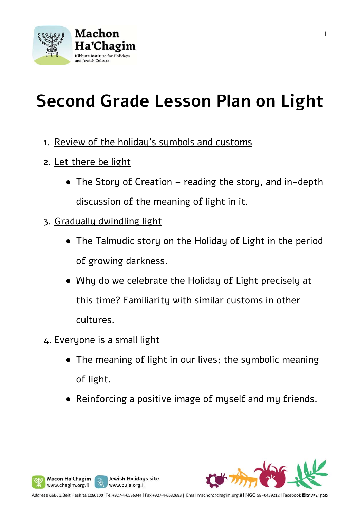

# **Second Grade Lesson Plan on Light**

- 1. Review of the holiday's symbols and customs
- 2. Let there be light
	- The Story of Creation reading the story, and in-depth discussion of the meaning of light in it.
- 3. Gradually dwindling light
	- The Talmudic story on the Holiday of Light in the period of growing darkness.
	- Why do we celebrate the Holiday of Light precisely at this time? Familiarity with similar customs in other cultures.
- 4. Everyone is a small light

Macon Ha'Chagim

www.chagim.org.il

- The meaning of light in our lives; the sumbolic meaning of light.
- Reinforcing a positive image of myself and my friends.



Jewish Holidays site

www.buja.org.il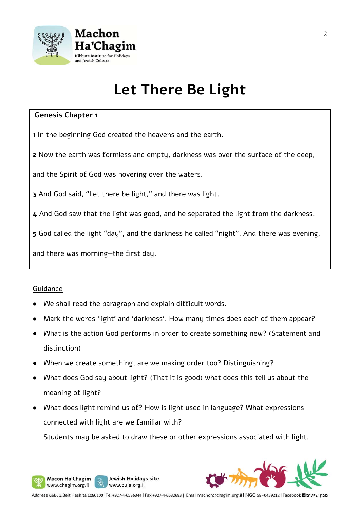

### **Let There Be Light**

#### **Genesis Chapter 1**

**1** In the beginning God created the heavens and the earth.

**2** Now the earth was formless and empty, darkness was over the surface of the deep,

and the Spirit of God was hovering over the waters.

**3** And God said, "Let there be light," and there was light.

**4** And God saw that the light was good, and he separated the light from the darkness.

**5** God called the light "day", and the darkness he called "night". And there was evening,

and there was morning—the first day.

#### Guidance

Macon Ha'Chagim www.chagim.org.il

We shall read the paragraph and explain difficult words.

Jewish Holidays site

www.buja.org.il

- Mark the words 'light' and 'darkness'. How many times does each of them appear?
- What is the action God performs in order to create something new? (Statement and distinction)
- When we create something, are we making order too? Distinguishing?
- What does God say about light? (That it is good) what does this tell us about the meaning of light?
- What does light remind us of? How is light used in language? What expressions connected with light are we familiar with?

Students may be asked to draw these or other expressions associated with light.

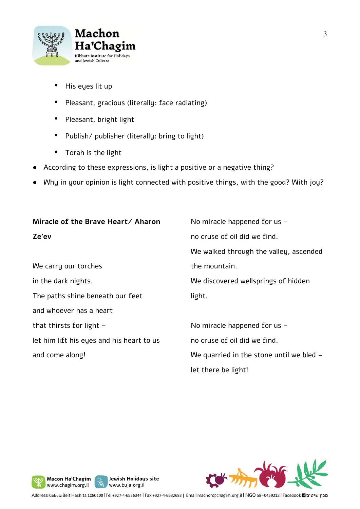

- His eyes lit up
- Pleasant, gracious (literally: face radiating)
- Pleasant, bright light
- Publish/ publisher (literally: bring to light)
- Torah is the light
- According to these expressions, is light a positive or a negative thing?
- Why in your opinion is light connected with positive things, with the good? With joy?

| Miracle of the Brave Heart/ Aharon        | No miracle happened for us $-$             |
|-------------------------------------------|--------------------------------------------|
| Ze'ev                                     | no cruse of oil did we find.               |
|                                           | We walked through the valley, ascended     |
| We carry our torches                      | the mountain.                              |
| in the dark nights.                       | We discovered wellsprings of hidden        |
| The paths shine beneath our feet          | light.                                     |
| and whoever has a heart                   |                                            |
| that thirsts for light $-$                | No miracle happened for us -               |
| let him lift his eyes and his heart to us | no cruse of oil did we find.               |
| and come along!                           | We quarried in the stone until we bled $-$ |
|                                           | let there be light!                        |







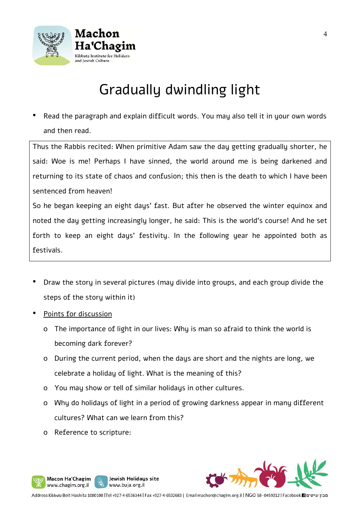

## Gradually dwindling light

• Read the paragraph and explain difficult words. You may also tell it in your own words and then read.

Thus the Rabbis recited: When primitive Adam saw the day getting gradually shorter, he said: Woe is me! Perhaps I have sinned, the world around me is being darkened and returning to its state of chaos and confusion; this then is the death to which I have been sentenced from heaven!

So he began keeping an eight days' fast. But after he observed the winter equinox and noted the day getting increasingly longer, he said: This is the world's course! And he set forth to keep an eight days' festivity. In the following year he appointed both as festivals.

- Draw the story in several pictures (may divide into groups, and each group divide the steps of the story within it)
- Points for discussion
	- o The importance of light in our lives: Why is man so afraid to think the world is becoming dark forever?
	- o During the current period, when the days are short and the nights are long, we celebrate a holiday of light. What is the meaning of this?
	- o You may show or tell of similar holidays in other cultures.

Jewish Holidays site

www.buja.org.il

- o Why do holidays of light in a period of growing darkness appear in many different cultures? What can we learn from this?
- o Reference to scripture:

Macon Ha'Chagim www.chagim.org.il

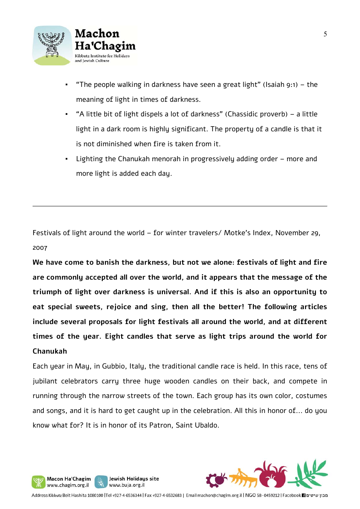

- "The people walking in darkness have seen a great light" (Isaiah 9:1) the meaning of light in times of darkness.
- "A little bit of light dispels a lot of darkness" (Chassidic proverb) a little light in a dark room is highly significant. The property of a candle is that it is not diminished when fire is taken from it.
- Lighting the Chanukah menorah in progressively adding order more and more light is added each day.

Festivals of light around the world – for winter travelers/ Motke's Index, November 29, 2007

**We have come to banish the darkness, but not we alone: festivals of light and fire are commonly accepted all over the world, and it appears that the message of the triumph of light over darkness is universal. And if this is also an opportunity to eat special sweets, rejoice and sing, then all the better! The following articles include several proposals for light festivals all around the world, and at different times of the year. Eight candles that serve as light trips around the world for Chanukah**

Each year in May, in Gubbio, Italy, the traditional candle race is held. In this race, tens of jubilant celebrators carry three huge wooden candles on their back, and compete in running through the narrow streets of the town. Each group has its own color, costumes and songs, and it is hard to get caught up in the celebration. All this in honor of... do you know what for? It is in honor of its Patron, Saint Ubaldo.



Jewish Holidays site

www.buja.org.il

Macon Ha'Chagim www.chagim.org.il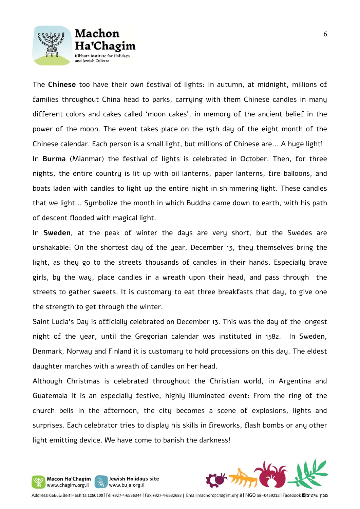



The **Chinese** too have their own festival of lights: In autumn, at midnight, millions of families throughout China head to parks, carrying with them Chinese candles in many different colors and cakes called 'moon cakes', in memory of the ancient belief in the power of the moon. The event takes place on the 15th day of the eight month of the Chinese calendar. Each person is a small light, but millions of Chinese are... A huge light! In **Burma** (Mianmar) the festival of lights is celebrated in October. Then, for three nights, the entire country is lit up with oil lanterns, paper lanterns, fire balloons, and boats laden with candles to light up the entire night in shimmering light. These candles that we light... Symbolize the month in which Buddha came down to earth, with his path of descent flooded with magical light.

In **Sweden**, at the peak of winter the days are very short, but the Swedes are unshakable: On the shortest day of the year, December 13, they themselves bring the light, as they go to the streets thousands of candles in their hands. Especially brave girls, by the way, place candles in a wreath upon their head, and pass through the streets to gather sweets. It is customary to eat three breakfasts that day, to give one the strength to get through the winter.

Saint Lucia's Day is officially celebrated on December 13. This was the day of the longest night of the year, until the Gregorian calendar was instituted in 1582. In Sweden, Denmark, Norway and Finland it is customary to hold processions on this day. The eldest daughter marches with a wreath of candles on her head.

Although Christmas is celebrated throughout the Christian world, in Argentina and Guatemala it is an especially festive, highly illuminated event: From the ring of the church bells in the afternoon, the city becomes a scene of explosions, lights and surprises. Each celebrator tries to display his skills in fireworks, flash bombs or any other light emitting device. We have come to banish the darkness!



Jewish Holidays site

www.buja.org.il

Macon Ha'Chagim

www.chagim.org.il

4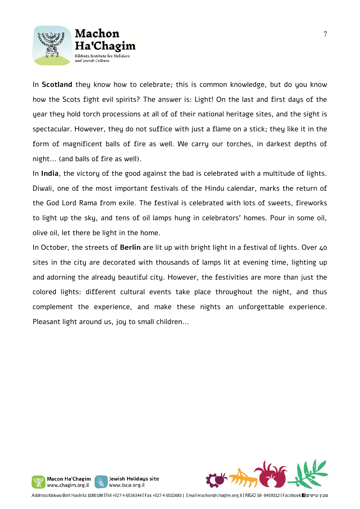



In **Scotland** they know how to celebrate; this is common knowledge, but do you know how the Scots fight evil spirits? The answer is: Light! On the last and first days of the year they hold torch processions at all of of their national heritage sites, and the sight is spectacular. However, they do not suffice with just a flame on a stick; they like it in the form of magnificent balls of fire as well. We carry our torches, in darkest depths of night... (and balls of fire as well).

In **India**, the victory of the good against the bad is celebrated with a multitude of lights. Diwali, one of the most important festivals of the Hindu calendar, marks the return of the God Lord Rama from exile. The festival is celebrated with lots of sweets, fireworks to light up the sky, and tens of oil lamps hung in celebrators' homes. Pour in some oil, olive oil, let there be light in the home.

In October, the streets of **Berlin** are lit up with bright light in a festival of lights. Over 40 sites in the city are decorated with thousands of lamps lit at evening time, lighting up and adorning the already beautiful city. However, the festivities are more than just the colored lights: different cultural events take place throughout the night, and thus complement the experience, and make these nights an unforgettable experience. Pleasant light around us, joy to small children...



Jewish Holidays site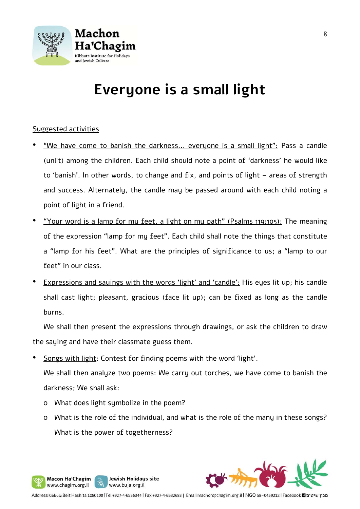

### **Everyone is a small light**

#### Suggested activities

- "We have come to banish the darkness... everyone is a small light": Pass a candle (unlit) among the children. Each child should note a point of 'darkness' he would like to 'banish'. In other words, to change and fix, and points of light – areas of strength and success. Alternately, the candle may be passed around with each child noting a point of light in a friend.
- "Your word is a lamp for my feet, a light on my path" (Psalms 119:105): The meaning of the expression "lamp for my feet". Each child shall note the things that constitute a "lamp for his feet". What are the principles of significance to us; a "lamp to our feet" in our class.
- Expressions and sayings with the words 'light' and 'candle': His eyes lit up; his candle shall cast light; pleasant, gracious (face lit up); can be fixed as long as the candle burns.

We shall then present the expressions through drawings, or ask the children to draw the saying and have their classmate guess them.

Songs with light: Contest for finding poems with the word 'light'.

We shall then analyze two poems: We carry out torches, we have come to banish the darkness; We shall ask:

o What does light symbolize in the poem?

Macon Ha'Chagim www.chagim.org.il

Jewish Holidays site

www.buja.org.il

o What is the role of the individual, and what is the role of the many in these songs? What is the power of togetherness?